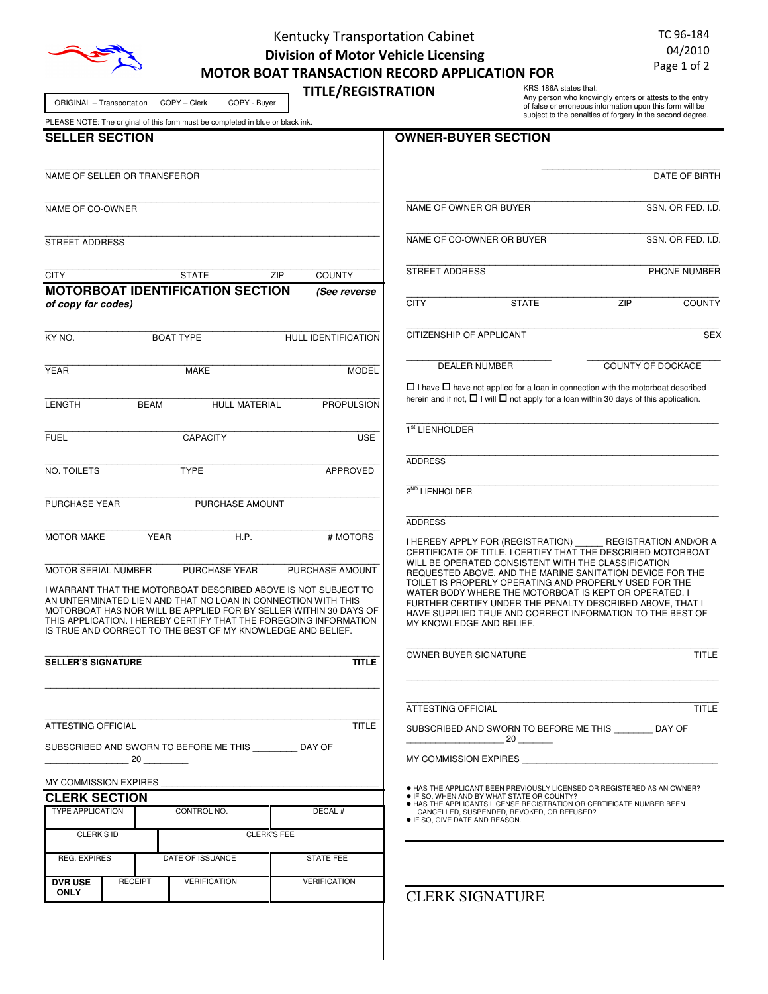

# Kentucky Transportation Cabinet Division of Motor Vehicle Licensing MOTOR BOAT TRANSACTION RECORD APPLICATION FOR

TC 96-184 04/2010 Page 1 of 2

| COPY - Clerk<br>COPY - Buyer<br>ORIGINAL - Transportation                                                                                                                                                                                                                                                                                | <b>TITLE/REGISTRATION</b>  |                                                                                          | KRS 186A states that:<br>Any person who knowingly enters or attests to the entry<br>of false or erroneous information upon this form will be<br>subject to the penalties of forgery in the second degree. |                              |
|------------------------------------------------------------------------------------------------------------------------------------------------------------------------------------------------------------------------------------------------------------------------------------------------------------------------------------------|----------------------------|------------------------------------------------------------------------------------------|-----------------------------------------------------------------------------------------------------------------------------------------------------------------------------------------------------------|------------------------------|
| PLEASE NOTE: The original of this form must be completed in blue or black ink.<br><b>SELLER SECTION</b>                                                                                                                                                                                                                                  |                            | <b>OWNER-BUYER SECTION</b>                                                               |                                                                                                                                                                                                           |                              |
|                                                                                                                                                                                                                                                                                                                                          |                            |                                                                                          |                                                                                                                                                                                                           |                              |
| NAME OF SELLER OR TRANSFEROR                                                                                                                                                                                                                                                                                                             |                            |                                                                                          |                                                                                                                                                                                                           | DATE OF BIRTH                |
| NAME OF CO-OWNER                                                                                                                                                                                                                                                                                                                         |                            | NAME OF OWNER OR BUYER                                                                   |                                                                                                                                                                                                           | SSN. OR FED. I.D.            |
| <b>STREET ADDRESS</b>                                                                                                                                                                                                                                                                                                                    |                            | NAME OF CO-OWNER OR BUYER                                                                |                                                                                                                                                                                                           | SSN. OR FED. I.D.            |
| <b>CITY</b><br><b>STATE</b><br>ZIP                                                                                                                                                                                                                                                                                                       | <b>COUNTY</b>              | <b>STREET ADDRESS</b>                                                                    |                                                                                                                                                                                                           | PHONE NUMBER                 |
| <b>MOTORBOAT IDENTIFICATION SECTION</b>                                                                                                                                                                                                                                                                                                  | (See reverse               |                                                                                          |                                                                                                                                                                                                           |                              |
| of copy for codes)                                                                                                                                                                                                                                                                                                                       |                            | <b>CITY</b>                                                                              | ZIP<br><b>STATE</b>                                                                                                                                                                                       | <b>COUNTY</b>                |
| KY NO.<br><b>BOAT TYPE</b>                                                                                                                                                                                                                                                                                                               | <b>HULL IDENTIFICATION</b> | <b>CITIZENSHIP OF APPLICANT</b>                                                          |                                                                                                                                                                                                           | <b>SEX</b>                   |
| <b>YEAR</b><br><b>MAKE</b>                                                                                                                                                                                                                                                                                                               | <b>MODEL</b>               | <b>DEALER NUMBER</b>                                                                     |                                                                                                                                                                                                           | <b>COUNTY OF DOCKAGE</b>     |
|                                                                                                                                                                                                                                                                                                                                          |                            |                                                                                          | $\Box$ I have $\Box$ have not applied for a loan in connection with the motorboat described                                                                                                               |                              |
| LENGTH<br><b>BEAM</b><br><b>HULL MATERIAL</b>                                                                                                                                                                                                                                                                                            | <b>PROPULSION</b>          |                                                                                          | herein and if not, $\Box$ I will $\Box$ not apply for a loan within 30 days of this application.                                                                                                          |                              |
| <b>FUEL</b><br><b>CAPACITY</b>                                                                                                                                                                                                                                                                                                           | <b>USE</b>                 | 1 <sup>st</sup> LIENHOLDER                                                               |                                                                                                                                                                                                           |                              |
|                                                                                                                                                                                                                                                                                                                                          |                            | <b>ADDRESS</b>                                                                           |                                                                                                                                                                                                           |                              |
| <b>NO. TOILETS</b><br><b>TYPE</b>                                                                                                                                                                                                                                                                                                        | <b>APPROVED</b>            |                                                                                          |                                                                                                                                                                                                           |                              |
| PURCHASE YEAR<br>PURCHASE AMOUNT                                                                                                                                                                                                                                                                                                         |                            | $2^{ND}$ LIENHOLDER                                                                      |                                                                                                                                                                                                           |                              |
|                                                                                                                                                                                                                                                                                                                                          |                            | <b>ADDRESS</b>                                                                           |                                                                                                                                                                                                           |                              |
| <b>YEAR</b><br><b>MOTOR MAKE</b><br>H.P.                                                                                                                                                                                                                                                                                                 | # MOTORS                   | I HEREBY APPLY FOR (REGISTRATION)                                                        |                                                                                                                                                                                                           | <b>REGISTRATION AND/OR A</b> |
|                                                                                                                                                                                                                                                                                                                                          |                            |                                                                                          | CERTIFICATE OF TITLE. I CERTIFY THAT THE DESCRIBED MOTORBOAT<br>WILL BE OPERATED CONSISTENT WITH THE CLASSIFICATION                                                                                       |                              |
| <b>MOTOR SERIAL NUMBER</b><br><b>PURCHASE YEAR</b>                                                                                                                                                                                                                                                                                       | PURCHASE AMOUNT            |                                                                                          | REQUESTED ABOVE, AND THE MARINE SANITATION DEVICE FOR THE<br>TOILET IS PROPERLY OPERATING AND PROPERLY USED FOR THE                                                                                       |                              |
| I WARRANT THAT THE MOTORBOAT DESCRIBED ABOVE IS NOT SUBJECT TO<br>AN UNTERMINATED LIEN AND THAT NO LOAN IN CONNECTION WITH THIS<br>MOTORBOAT HAS NOR WILL BE APPLIED FOR BY SELLER WITHIN 30 DAYS OF<br>THIS APPLICATION. I HEREBY CERTIFY THAT THE FOREGOING INFORMATION<br>IS TRUE AND CORRECT TO THE BEST OF MY KNOWLEDGE AND BELIEF. |                            | MY KNOWLEDGE AND BELIEF.                                                                 | WATER BODY WHERE THE MOTORBOAT IS KEPT OR OPERATED. I<br>FURTHER CERTIFY UNDER THE PENALTY DESCRIBED ABOVE, THAT I<br>HAVE SUPPLIED TRUE AND CORRECT INFORMATION TO THE BEST OF                           |                              |
| <b>SELLER'S SIGNATURE</b>                                                                                                                                                                                                                                                                                                                | <b>TITLE</b>               | OWNER BUYER SIGNATURE                                                                    |                                                                                                                                                                                                           | TITLE                        |
|                                                                                                                                                                                                                                                                                                                                          |                            | ATTESTING OFFICIAL                                                                       |                                                                                                                                                                                                           | TITLE                        |
| ATTESTING OFFICIAL                                                                                                                                                                                                                                                                                                                       | <b>TITLE</b>               |                                                                                          | SUBSCRIBED AND SWORN TO BEFORE ME THIS DAY OF                                                                                                                                                             |                              |
| SUBSCRIBED AND SWORN TO BEFORE ME THIS _________ DAY OF                                                                                                                                                                                                                                                                                  |                            | $\frac{1}{20}$ 20                                                                        |                                                                                                                                                                                                           |                              |
| 20                                                                                                                                                                                                                                                                                                                                       |                            |                                                                                          | MY COMMISSION EXPIRES AND THE STATE OF THE STATE OF THE STATE OF THE STATE OF THE STATE OF THE STATE OF THE ST                                                                                            |                              |
| MY COMMISSION EXPIRES                                                                                                                                                                                                                                                                                                                    |                            |                                                                                          | . HAS THE APPLICANT BEEN PREVIOUSLY LICENSED OR REGISTERED AS AN OWNER?                                                                                                                                   |                              |
| <b>CLERK SECTION</b><br><b>TYPE APPLICATION</b><br>CONTROL NO.                                                                                                                                                                                                                                                                           | DECAL#                     | • IF SO, WHEN AND BY WHAT STATE OR COUNTY?<br>CANCELLED, SUSPENDED, REVOKED, OR REFUSED? | <b>. HAS THE APPLICANTS LICENSE REGISTRATION OR CERTIFICATE NUMBER BEEN</b>                                                                                                                               |                              |
| <b>CLERK'S FEE</b><br><b>CLERK'S ID</b>                                                                                                                                                                                                                                                                                                  |                            | · IF SO, GIVE DATE AND REASON.                                                           |                                                                                                                                                                                                           |                              |
|                                                                                                                                                                                                                                                                                                                                          |                            |                                                                                          |                                                                                                                                                                                                           |                              |
| <b>REG. EXPIRES</b><br>DATE OF ISSUANCE                                                                                                                                                                                                                                                                                                  | <b>STATE FEE</b>           |                                                                                          |                                                                                                                                                                                                           |                              |
| <b>RECEIPT</b><br><b>VERIFICATION</b><br><b>DVR USE</b><br><b>ONLY</b>                                                                                                                                                                                                                                                                   | <b>VERIFICATION</b>        | <b>CLERK SIGNATURE</b>                                                                   |                                                                                                                                                                                                           |                              |
|                                                                                                                                                                                                                                                                                                                                          |                            |                                                                                          |                                                                                                                                                                                                           |                              |